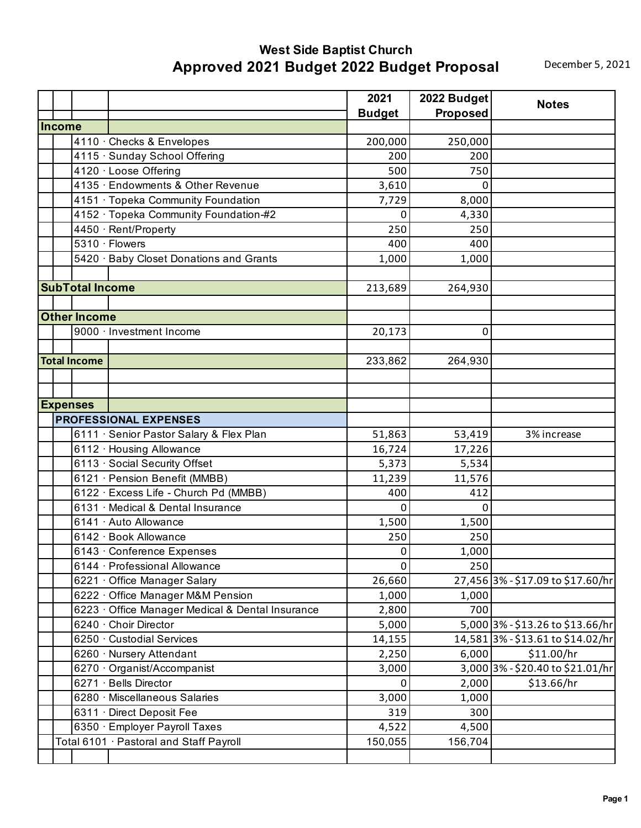## **West Side Baptist Church Approved 2021 Budget 2022 Budget Proposal December 5, 2021**

|               |                        |                                                  | 2021          | 2022 Budget     | <b>Notes</b>                      |
|---------------|------------------------|--------------------------------------------------|---------------|-----------------|-----------------------------------|
|               |                        |                                                  | <b>Budget</b> | <b>Proposed</b> |                                   |
| <b>Income</b> |                        |                                                  |               |                 |                                   |
|               |                        | 4110 · Checks & Envelopes                        | 200,000       | 250,000         |                                   |
|               |                        | 4115 · Sunday School Offering                    | 200           | 200             |                                   |
|               |                        | 4120 · Loose Offering                            | 500           | 750             |                                   |
|               |                        | 4135 · Endowments & Other Revenue                | 3,610         | 0               |                                   |
|               |                        | 4151 · Topeka Community Foundation               | 7,729         | 8,000           |                                   |
|               |                        | 4152 · Topeka Community Foundation-#2            | 0             | 4,330           |                                   |
|               |                        | 4450 · Rent/Property                             | 250           | 250             |                                   |
|               |                        | 5310 · Flowers                                   | 400           | 400             |                                   |
|               |                        | 5420 · Baby Closet Donations and Grants          | 1,000         | 1,000           |                                   |
|               |                        |                                                  |               |                 |                                   |
|               | <b>SubTotal Income</b> |                                                  | 213,689       | 264,930         |                                   |
|               |                        |                                                  |               |                 |                                   |
|               | <b>Other Income</b>    |                                                  |               |                 |                                   |
|               |                        | 9000 · Investment Income                         | 20,173        | 0               |                                   |
|               |                        |                                                  |               |                 |                                   |
|               | <b>Total Income</b>    |                                                  | 233,862       | 264,930         |                                   |
|               |                        |                                                  |               |                 |                                   |
|               |                        |                                                  |               |                 |                                   |
|               | <b>Expenses</b>        |                                                  |               |                 |                                   |
|               |                        | <b>PROFESSIONAL EXPENSES</b>                     |               |                 |                                   |
|               |                        | 6111 · Senior Pastor Salary & Flex Plan          | 51,863        | 53,419          | 3% increase                       |
|               |                        | 6112 · Housing Allowance                         | 16,724        | 17,226          |                                   |
|               |                        | 6113 · Social Security Offset                    | 5,373         | 5,534           |                                   |
|               |                        | 6121 · Pension Benefit (MMBB)                    | 11,239        | 11,576          |                                   |
|               |                        | 6122 · Excess Life - Church Pd (MMBB)            | 400           | 412             |                                   |
|               |                        | 6131 · Medical & Dental Insurance                | 0             | 0               |                                   |
|               |                        | 6141 · Auto Allowance                            | 1,500         | 1,500           |                                   |
|               |                        | 6142 · Book Allowance                            | 250           | 250             |                                   |
|               |                        | 6143 · Conference Expenses                       | 0             | 1,000           |                                   |
|               |                        | 6144 · Professional Allowance                    | 0             | 250             |                                   |
|               |                        | 6221 Office Manager Salary                       | 26,660        |                 | 27,456 3% - \$17.09 to \$17.60/hr |
|               |                        | 6222 · Office Manager M&M Pension                | 1,000         | 1,000           |                                   |
|               |                        | 6223 · Office Manager Medical & Dental Insurance | 2,800         | 700             |                                   |
|               |                        | 6240 · Choir Director                            | 5,000         |                 | 5,000 3% - \$13.26 to \$13.66/hr  |
|               |                        | 6250 · Custodial Services                        | 14,155        |                 | 14,581 3% - \$13.61 to \$14.02/hr |
|               |                        | 6260 · Nursery Attendant                         | 2,250         | 6,000           | \$11.00/hr                        |
|               |                        | 6270 Organist/Accompanist                        | 3,000         |                 | 3,000 3% - \$20.40 to \$21.01/hr  |
|               |                        | 6271 · Bells Director                            | 0             | 2,000           | \$13.66/hr                        |
|               |                        | 6280 · Miscellaneous Salaries                    | 3,000         | 1,000           |                                   |
|               |                        |                                                  |               |                 |                                   |
|               |                        | 6311 · Direct Deposit Fee                        | 319           | 300             |                                   |
|               |                        | 6350 · Employer Payroll Taxes                    | 4,522         | 4,500           |                                   |
|               |                        | Total 6101 · Pastoral and Staff Payroll          | 150,055       | 156,704         |                                   |
|               |                        |                                                  |               |                 |                                   |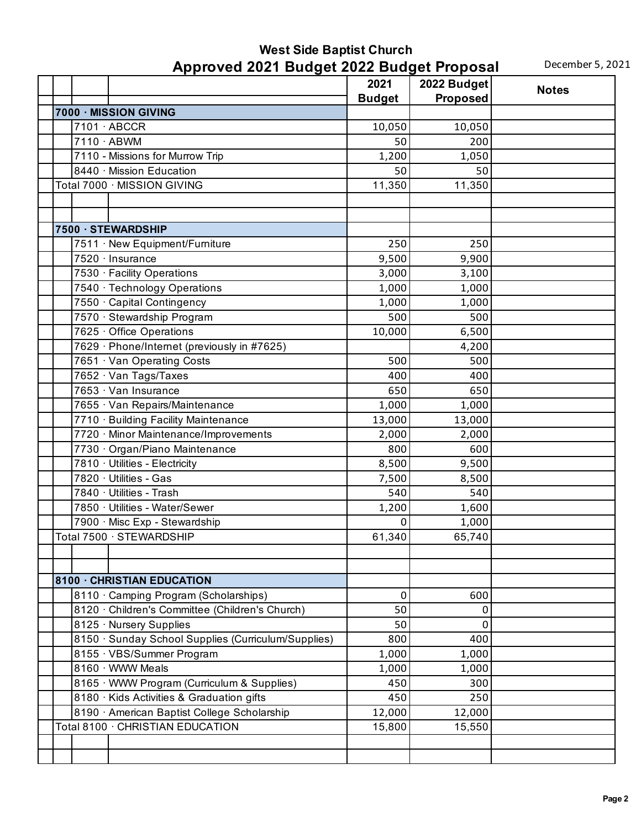## **West Side Baptist Church Approved 2021 Budget 2022 Budget Proposal** December 5, 2021

|  |                                                     | 2021          | -- - - - <b>-</b> - - -<br>2022 Budget |              |
|--|-----------------------------------------------------|---------------|----------------------------------------|--------------|
|  |                                                     | <b>Budget</b> | Proposed                               | <b>Notes</b> |
|  | 7000 · MISSION GIVING                               |               |                                        |              |
|  | $\overline{7101}$ ABCCR                             | 10,050        | 10,050                                 |              |
|  | 7110 · ABWM                                         | 50            | 200                                    |              |
|  | 7110 - Missions for Murrow Trip                     | 1,200         | 1,050                                  |              |
|  | 8440 · Mission Education                            | 50            | 50                                     |              |
|  | Total 7000 · MISSION GIVING                         | 11,350        | 11,350                                 |              |
|  |                                                     |               |                                        |              |
|  |                                                     |               |                                        |              |
|  | 7500 · STEWARDSHIP                                  |               |                                        |              |
|  | 7511 · New Equipment/Furniture                      | 250           | 250                                    |              |
|  | 7520 · Insurance                                    | 9,500         | 9,900                                  |              |
|  |                                                     |               |                                        |              |
|  | 7530 · Facility Operations                          | 3,000         | 3,100                                  |              |
|  | 7540 · Technology Operations                        | 1,000         | 1,000                                  |              |
|  | 7550 · Capital Contingency                          | 1,000         | 1,000                                  |              |
|  | 7570 · Stewardship Program                          | 500           | 500                                    |              |
|  | 7625 Office Operations                              | 10,000        | 6,500                                  |              |
|  | 7629 · Phone/Internet (previously in #7625)         |               | 4,200                                  |              |
|  | 7651 · Van Operating Costs                          | 500           | 500                                    |              |
|  | 7652 · Van Tags/Taxes                               | 400           | 400                                    |              |
|  | $7653 \cdot$ Van Insurance                          | 650           | 650                                    |              |
|  | 7655 · Van Repairs/Maintenance                      | 1,000         | 1,000                                  |              |
|  | 7710 · Building Facility Maintenance                | 13,000        | 13,000                                 |              |
|  | 7720 · Minor Maintenance/Improvements               | 2,000         | 2,000                                  |              |
|  | 7730 · Organ/Piano Maintenance                      | 800           | 600                                    |              |
|  | 7810 · Utilities - Electricity                      | 8,500         | 9,500                                  |              |
|  | 7820 · Utilities - Gas                              | 7,500         | 8,500                                  |              |
|  | 7840 · Utilities - Trash                            | 540           | 540                                    |              |
|  | 7850 · Utilities - Water/Sewer                      | 1,200         | 1,600                                  |              |
|  | 7900 · Misc Exp - Stewardship                       | 0             | 1,000                                  |              |
|  | Total 7500 · STEWARDSHIP                            | 61,340        | 65,740                                 |              |
|  |                                                     |               |                                        |              |
|  |                                                     |               |                                        |              |
|  | 8100 · CHRISTIAN EDUCATION                          |               |                                        |              |
|  | 8110 · Camping Program (Scholarships)               | 0             | 600                                    |              |
|  | 8120 · Children's Committee (Children's Church)     | 50            | 0                                      |              |
|  | 8125 · Nursery Supplies                             | 50            | 0                                      |              |
|  | 8150 · Sunday School Supplies (Curriculum/Supplies) | 800           | 400                                    |              |
|  | 8155 · VBS/Summer Program                           | 1,000         | 1,000                                  |              |
|  | 8160 WWW Meals                                      | 1,000         | 1,000                                  |              |
|  | 8165 WWW Program (Curriculum & Supplies)            | 450           | 300                                    |              |
|  | 8180 · Kids Activities & Graduation gifts           | 450           | 250                                    |              |
|  | 8190 · American Baptist College Scholarship         | 12,000        | 12,000                                 |              |
|  | Total 8100 · CHRISTIAN EDUCATION                    | 15,800        | 15,550                                 |              |
|  |                                                     |               |                                        |              |
|  |                                                     |               |                                        |              |